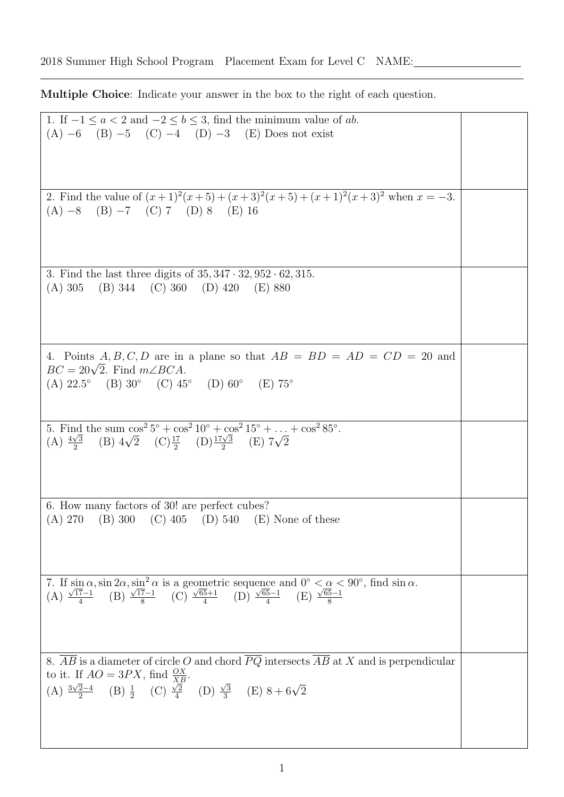Multiple Choice: Indicate your answer in the box to the right of each question.

| 1. If $-1 \le a < 2$ and $-2 \le b \le 3$ , find the minimum value of ab.                                                                                                                                                                                                              |  |
|----------------------------------------------------------------------------------------------------------------------------------------------------------------------------------------------------------------------------------------------------------------------------------------|--|
| $(A) -6$ (B) $-5$ (C) $-4$ (D) $-3$ (E) Does not exist                                                                                                                                                                                                                                 |  |
|                                                                                                                                                                                                                                                                                        |  |
|                                                                                                                                                                                                                                                                                        |  |
|                                                                                                                                                                                                                                                                                        |  |
|                                                                                                                                                                                                                                                                                        |  |
|                                                                                                                                                                                                                                                                                        |  |
|                                                                                                                                                                                                                                                                                        |  |
| 2. Find the value of $(x+1)^2(x+5) + (x+3)^2(x+5) + (x+1)^2(x+3)^2$ when $x = -3$ .                                                                                                                                                                                                    |  |
|                                                                                                                                                                                                                                                                                        |  |
| $(A) -8$ $(B) -7$ $(C) 7$ $(D) 8$ $(E) 16$                                                                                                                                                                                                                                             |  |
|                                                                                                                                                                                                                                                                                        |  |
|                                                                                                                                                                                                                                                                                        |  |
|                                                                                                                                                                                                                                                                                        |  |
|                                                                                                                                                                                                                                                                                        |  |
|                                                                                                                                                                                                                                                                                        |  |
|                                                                                                                                                                                                                                                                                        |  |
| 3. Find the last three digits of $35, 347 \cdot 32, 952 \cdot 62, 315$ .                                                                                                                                                                                                               |  |
| (A) 305<br>(B) 344 (C) 360 (D) 420 (E) 880                                                                                                                                                                                                                                             |  |
|                                                                                                                                                                                                                                                                                        |  |
|                                                                                                                                                                                                                                                                                        |  |
|                                                                                                                                                                                                                                                                                        |  |
|                                                                                                                                                                                                                                                                                        |  |
|                                                                                                                                                                                                                                                                                        |  |
|                                                                                                                                                                                                                                                                                        |  |
|                                                                                                                                                                                                                                                                                        |  |
| 4. Points A, B, C, D are in a plane so that $AB = BD = AD = CD = 20$ and                                                                                                                                                                                                               |  |
| $BC = 20\sqrt{2}$ . Find $m\angle BCA$ .                                                                                                                                                                                                                                               |  |
|                                                                                                                                                                                                                                                                                        |  |
| (A) $22.5^{\circ}$ (B) $30^{\circ}$ (C) $45^{\circ}$ (D) $60^{\circ}$ (E) $75^{\circ}$                                                                                                                                                                                                 |  |
|                                                                                                                                                                                                                                                                                        |  |
|                                                                                                                                                                                                                                                                                        |  |
|                                                                                                                                                                                                                                                                                        |  |
|                                                                                                                                                                                                                                                                                        |  |
| 5. Find the sum $\cos^2 5^\circ + \cos^2 10^\circ + \cos^2 15^\circ + \ldots + \cos^2 85^\circ$ .                                                                                                                                                                                      |  |
| (A) $\frac{4\sqrt{3}}{2}$ (B) $4\sqrt{2}$ (C) $\frac{17}{2}$ (D) $\frac{17\sqrt{3}}{2}$ (E) $7\sqrt{2}$                                                                                                                                                                                |  |
|                                                                                                                                                                                                                                                                                        |  |
|                                                                                                                                                                                                                                                                                        |  |
|                                                                                                                                                                                                                                                                                        |  |
|                                                                                                                                                                                                                                                                                        |  |
|                                                                                                                                                                                                                                                                                        |  |
|                                                                                                                                                                                                                                                                                        |  |
|                                                                                                                                                                                                                                                                                        |  |
|                                                                                                                                                                                                                                                                                        |  |
| 6. How many factors of 30! are perfect cubes?                                                                                                                                                                                                                                          |  |
| (A) 270 (B) 300 (C) 405 (D) 540 (E) None of these                                                                                                                                                                                                                                      |  |
|                                                                                                                                                                                                                                                                                        |  |
|                                                                                                                                                                                                                                                                                        |  |
|                                                                                                                                                                                                                                                                                        |  |
|                                                                                                                                                                                                                                                                                        |  |
|                                                                                                                                                                                                                                                                                        |  |
|                                                                                                                                                                                                                                                                                        |  |
|                                                                                                                                                                                                                                                                                        |  |
|                                                                                                                                                                                                                                                                                        |  |
| 7. If $\sin \alpha$ , $\sin 2\alpha$ , $\sin^2 \alpha$ is a geometric sequence and $0^\circ < \alpha < 90^\circ$ , find $\sin \alpha$ .<br>(A) $\frac{\sqrt{17}-1}{4}$ (B) $\frac{\sqrt{17}-1}{8}$ (C) $\frac{\sqrt{65}+1}{4}$ (D) $\frac{\sqrt{65}-1}{4}$ (E) $\frac{\sqrt{65}-1}{8}$ |  |
|                                                                                                                                                                                                                                                                                        |  |
|                                                                                                                                                                                                                                                                                        |  |
|                                                                                                                                                                                                                                                                                        |  |
|                                                                                                                                                                                                                                                                                        |  |
|                                                                                                                                                                                                                                                                                        |  |
| 8. AB is a diameter of circle O and chord $PQ$ intersects AB at X and is perpendicular                                                                                                                                                                                                 |  |
|                                                                                                                                                                                                                                                                                        |  |
| to it. If $AO = 3PX$ , find $\frac{OX}{XB}$ .                                                                                                                                                                                                                                          |  |
|                                                                                                                                                                                                                                                                                        |  |
| (B) $\frac{1}{2}$ (C) $\frac{\sqrt{2}}{4}$ (D) $\frac{\sqrt{3}}{3}$ (E) $8+6\sqrt{2}$<br>(A) $\frac{3\sqrt{2}-4}{2}$                                                                                                                                                                   |  |
|                                                                                                                                                                                                                                                                                        |  |
|                                                                                                                                                                                                                                                                                        |  |
|                                                                                                                                                                                                                                                                                        |  |
|                                                                                                                                                                                                                                                                                        |  |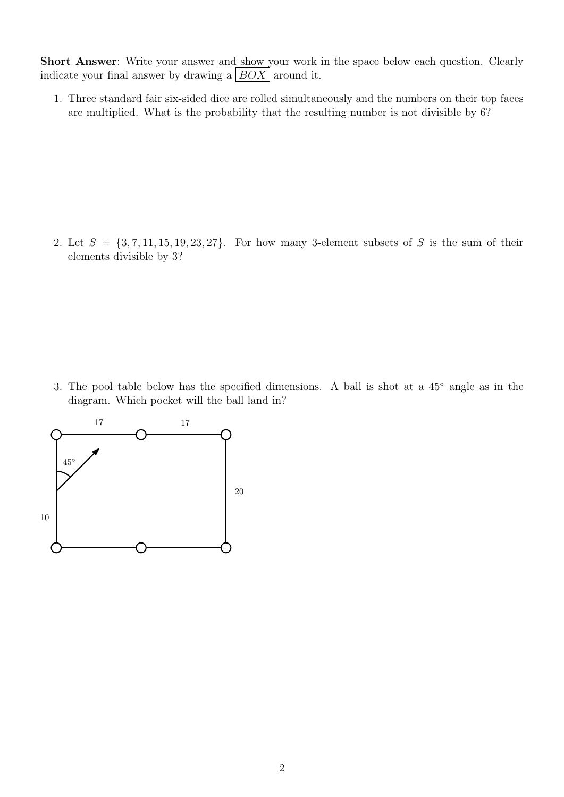Short Answer: Write your answer and show your work in the space below each question. Clearly indicate your final answer by drawing a  $|BOX|$  around it.

1. Three standard fair six-sided dice are rolled simultaneously and the numbers on their top faces are multiplied. What is the probability that the resulting number is not divisible by 6?

2. Let  $S = \{3, 7, 11, 15, 19, 23, 27\}$ . For how many 3-element subsets of S is the sum of their elements divisible by 3?

3. The pool table below has the specified dimensions. A ball is shot at a 45◦ angle as in the diagram. Which pocket will the ball land in?

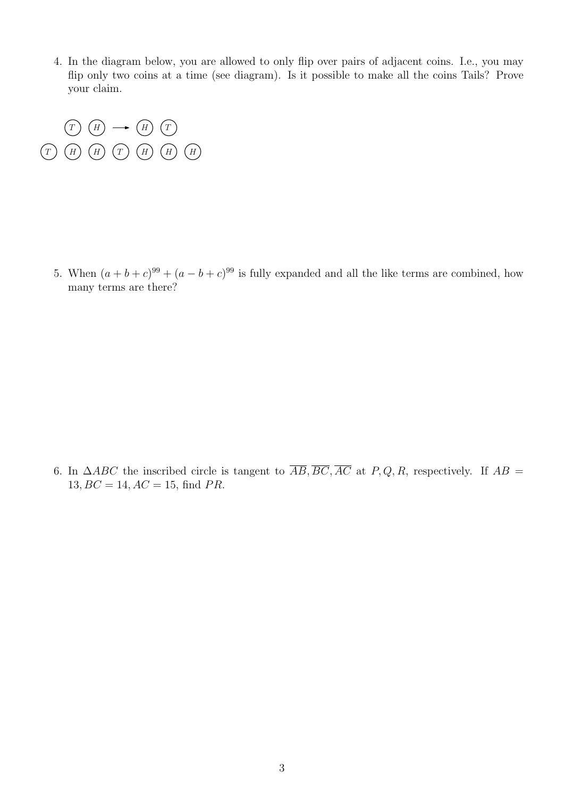4. In the diagram below, you are allowed to only flip over pairs of adjacent coins. I.e., you may flip only two coins at a time (see diagram). Is it possible to make all the coins Tails? Prove your claim.



5. When  $(a + b + c)^{99} + (a - b + c)^{99}$  is fully expanded and all the like terms are combined, how many terms are there?

6. In  $\triangle ABC$  the inscribed circle is tangent to  $\overline{AB}, \overline{BC}, \overline{AC}$  at P, Q, R, respectively. If  $AB =$  $13, BC = 14, AC = 15, find PR.$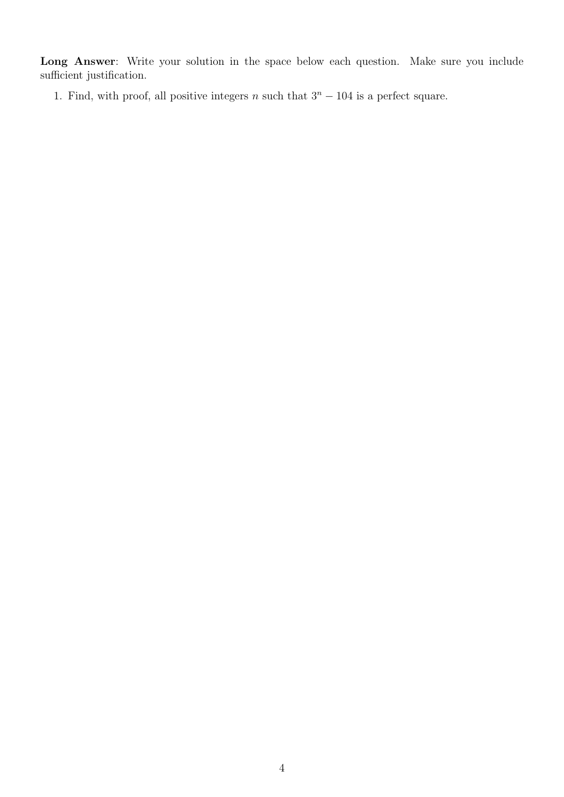Long Answer: Write your solution in the space below each question. Make sure you include sufficient justification.

1. Find, with proof, all positive integers n such that  $3<sup>n</sup> - 104$  is a perfect square.